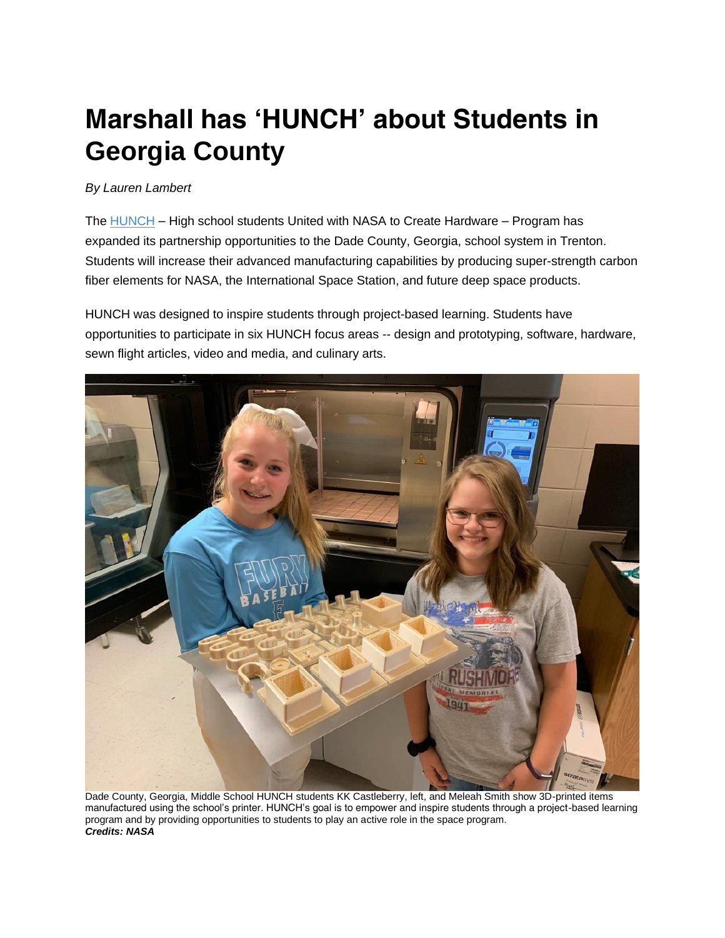## **Marshall has 'HUNCH' about Students in Georgia County**

## *By Lauren Lambert*

The [HUNCH](https://nasahunch.com/) – High school students United with NASA to Create Hardware – Program has expanded its partnership opportunities to the Dade County, Georgia, school system in Trenton. Students will increase their advanced manufacturing capabilities by producing super-strength carbon fiber elements for NASA, the International Space Station, and future deep space products.

HUNCH was designed to inspire students through project-based learning. Students have opportunities to participate in six HUNCH focus areas -- design and prototyping, software, hardware, sewn flight articles, video and media, and culinary arts.



Dade County, Georgia, Middle School HUNCH students KK Castleberry, left, and Meleah Smith show 3D-printed items manufactured using the school's printer. HUNCH's goal is to empower and inspire students through a project-based learning program and by providing opportunities to students to play an active role in the space program. *Credits: NASA*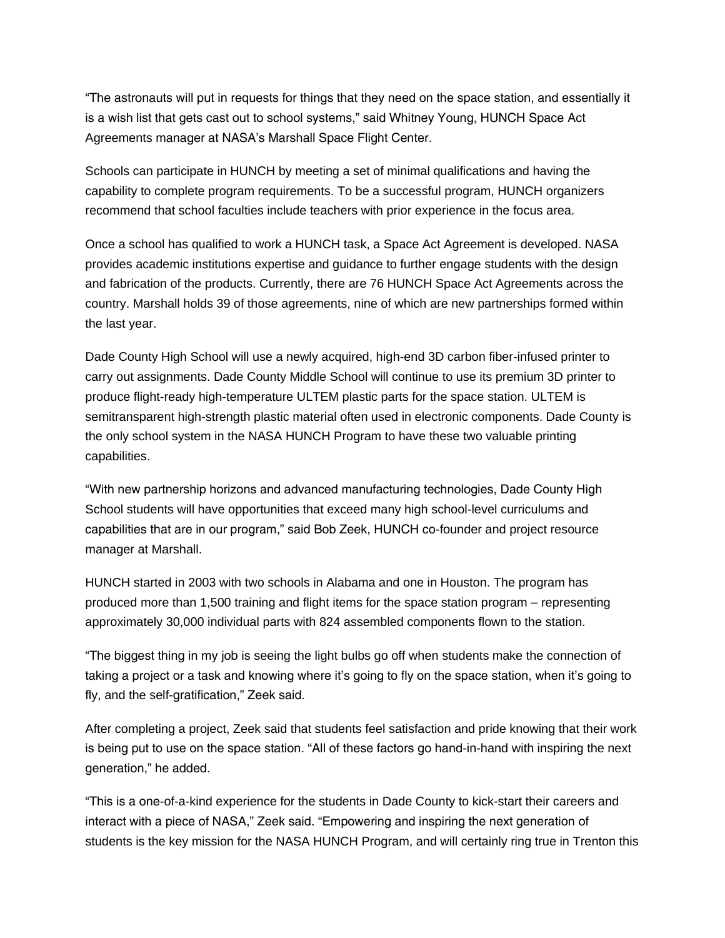"The astronauts will put in requests for things that they need on the space station, and essentially it is a wish list that gets cast out to school systems," said Whitney Young, HUNCH Space Act Agreements manager at NASA's Marshall Space Flight Center.

Schools can participate in HUNCH by meeting a set of minimal qualifications and having the capability to complete program requirements. To be a successful program, HUNCH organizers recommend that school faculties include teachers with prior experience in the focus area.

Once a school has qualified to work a HUNCH task, a Space Act Agreement is developed. NASA provides academic institutions expertise and guidance to further engage students with the design and fabrication of the products. Currently, there are 76 HUNCH Space Act Agreements across the country. Marshall holds 39 of those agreements, nine of which are new partnerships formed within the last year.

Dade County High School will use a newly acquired, high-end 3D carbon fiber-infused printer to carry out assignments. Dade County Middle School will continue to use its premium 3D printer to produce flight-ready high-temperature ULTEM plastic parts for the space station. ULTEM is semitransparent high-strength plastic material often used in electronic components. Dade County is the only school system in the NASA HUNCH Program to have these two valuable printing capabilities.

"With new partnership horizons and advanced manufacturing technologies, Dade County High School students will have opportunities that exceed many high school-level curriculums and capabilities that are in our program," said Bob Zeek, HUNCH co-founder and project resource manager at Marshall.

HUNCH started in 2003 with two schools in Alabama and one in Houston. The program has produced more than 1,500 training and flight items for the space station program – representing approximately 30,000 individual parts with 824 assembled components flown to the station.

"The biggest thing in my job is seeing the light bulbs go off when students make the connection of taking a project or a task and knowing where it's going to fly on the space station, when it's going to fly, and the self-gratification," Zeek said.

After completing a project, Zeek said that students feel satisfaction and pride knowing that their work is being put to use on the space station. "All of these factors go hand-in-hand with inspiring the next generation," he added.

"This is a one-of-a-kind experience for the students in Dade County to kick-start their careers and interact with a piece of NASA," Zeek said. "Empowering and inspiring the next generation of students is the key mission for the NASA HUNCH Program, and will certainly ring true in Trenton this